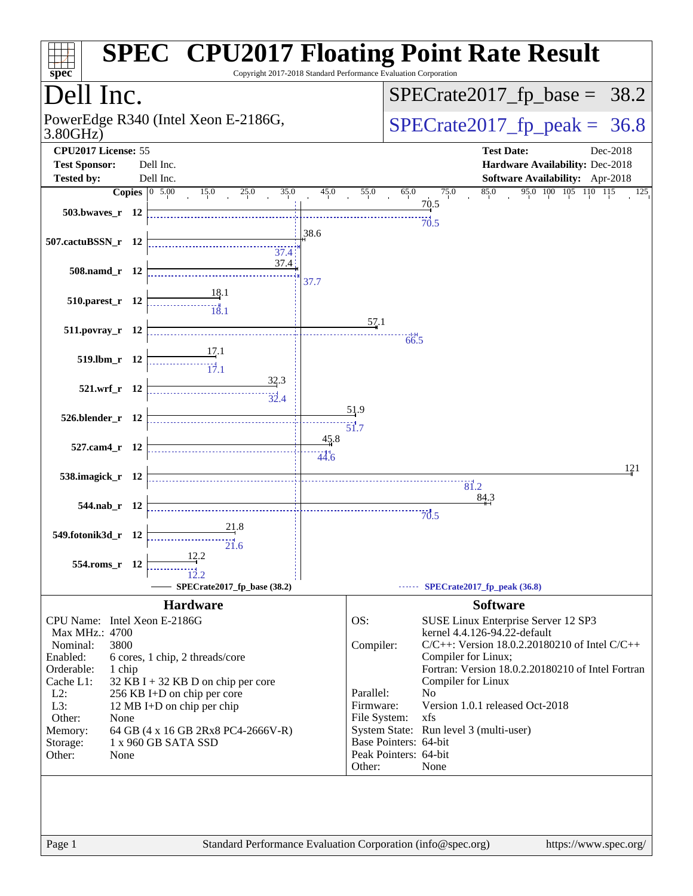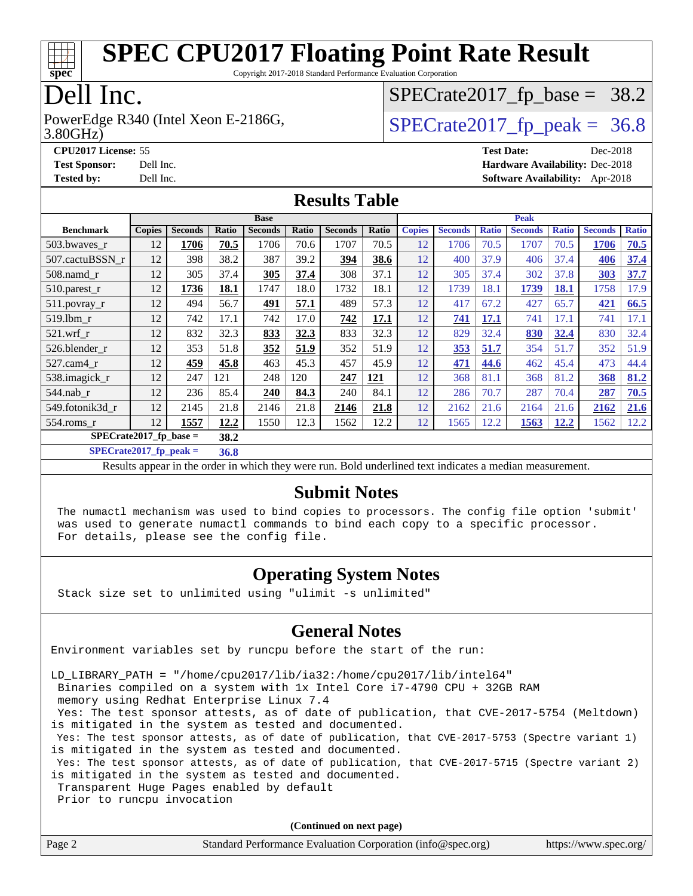

Copyright 2017-2018 Standard Performance Evaluation Corporation

### Dell Inc.

3.80GHz) PowerEdge R340 (Intel Xeon E-2186G,  $\vert$  [SPECrate2017\\_fp\\_peak =](http://www.spec.org/auto/cpu2017/Docs/result-fields.html#SPECrate2017fppeak) 36.8

## $SPECrate2017_fp\_base = 38.2$

**[CPU2017 License:](http://www.spec.org/auto/cpu2017/Docs/result-fields.html#CPU2017License)** 55 **[Test Date:](http://www.spec.org/auto/cpu2017/Docs/result-fields.html#TestDate)** Dec-2018 **[Test Sponsor:](http://www.spec.org/auto/cpu2017/Docs/result-fields.html#TestSponsor)** Dell Inc. **[Hardware Availability:](http://www.spec.org/auto/cpu2017/Docs/result-fields.html#HardwareAvailability)** Dec-2018 **[Tested by:](http://www.spec.org/auto/cpu2017/Docs/result-fields.html#Testedby)** Dell Inc. **[Software Availability:](http://www.spec.org/auto/cpu2017/Docs/result-fields.html#SoftwareAvailability)** Apr-2018

#### **[Results Table](http://www.spec.org/auto/cpu2017/Docs/result-fields.html#ResultsTable)**

|                                  | <b>Base</b>   |                |       |                |       | <b>Peak</b>    |       |               |                |              |                |              |                |              |
|----------------------------------|---------------|----------------|-------|----------------|-------|----------------|-------|---------------|----------------|--------------|----------------|--------------|----------------|--------------|
| <b>Benchmark</b>                 | <b>Copies</b> | <b>Seconds</b> | Ratio | <b>Seconds</b> | Ratio | <b>Seconds</b> | Ratio | <b>Copies</b> | <b>Seconds</b> | <b>Ratio</b> | <b>Seconds</b> | <b>Ratio</b> | <b>Seconds</b> | <b>Ratio</b> |
| 503.bwayes r                     | 12            | 1706           | 70.5  | 1706           | 70.6  | 1707           | 70.5  | 12            | 1706           | 70.5         | 1707           | 70.5         | 1706           | 70.5         |
| 507.cactuBSSN r                  | 12            | 398            | 38.2  | 387            | 39.2  | 394            | 38.6  | 12            | 400            | 37.9         | 406            | 37.4         | 406            | 37.4         |
| $508$ .namd $r$                  | 12            | 305            | 37.4  | 305            | 37.4  | 308            | 37.1  | 12            | 305            | 37.4         | 302            | 37.8         | 303            | 37.7         |
| 510.parest_r                     | 12            | 1736           | 18.1  | 1747           | 18.0  | 1732           | 18.1  | 12            | 1739           | 18.1         | 1739           | 18.1         | 1758           | 17.9         |
| 511.povray_r                     | 12            | 494            | 56.7  | 491            | 57.1  | 489            | 57.3  | 12            | 417            | 67.2         | 427            | 65.7         | 421            | 66.5         |
| 519.lbm r                        | 12            | 742            | 17.1  | 742            | 17.0  | 742            | 17.1  | 12            | 741            | <b>17.1</b>  | 741            | 17.1         | 741            | 17.1         |
| $521$ .wrf r                     | 12            | 832            | 32.3  | 833            | 32.3  | 833            | 32.3  | 12            | 829            | 32.4         | 830            | 32.4         | 830            | 32.4         |
| 526.blender r                    | 12            | 353            | 51.8  | 352            | 51.9  | 352            | 51.9  | 12            | 353            | 51.7         | 354            | 51.7         | 352            | 51.9         |
| $527.cam4_r$                     | 12            | 459            | 45.8  | 463            | 45.3  | 457            | 45.9  | 12            | 471            | 44.6         | 462            | 45.4         | 473            | 44.4         |
| 538.imagick_r                    | 12            | 247            | 121   | 248            | 120   | 247            | 121   | 12            | 368            | 81.1         | 368            | 81.2         | 368            | 81.2         |
| 544.nab r                        | 12            | 236            | 85.4  | 240            | 84.3  | 240            | 84.1  | 12            | 286            | 70.7         | 287            | 70.4         | 287            | 70.5         |
| 549.fotonik3d_r                  | 12            | 2145           | 21.8  | 2146           | 21.8  | 2146           | 21.8  | 12            | 2162           | 21.6         | 2164           | 21.6         | 2162           | 21.6         |
| $554$ .roms_r                    | 12            | 1557           | 12.2  | 1550           | 12.3  | 1562           | 12.2  | 12            | 1565           | 12.2         | 1563           | 12.2         | 1562           | 12.2         |
| $SPECrate2017$ fp base =<br>38.2 |               |                |       |                |       |                |       |               |                |              |                |              |                |              |

**[SPECrate2017\\_fp\\_peak =](http://www.spec.org/auto/cpu2017/Docs/result-fields.html#SPECrate2017fppeak) 36.8**

Results appear in the [order in which they were run.](http://www.spec.org/auto/cpu2017/Docs/result-fields.html#RunOrder) Bold underlined text [indicates a median measurement.](http://www.spec.org/auto/cpu2017/Docs/result-fields.html#Median)

#### **[Submit Notes](http://www.spec.org/auto/cpu2017/Docs/result-fields.html#SubmitNotes)**

 The numactl mechanism was used to bind copies to processors. The config file option 'submit' was used to generate numactl commands to bind each copy to a specific processor. For details, please see the config file.

#### **[Operating System Notes](http://www.spec.org/auto/cpu2017/Docs/result-fields.html#OperatingSystemNotes)**

Stack size set to unlimited using "ulimit -s unlimited"

#### **[General Notes](http://www.spec.org/auto/cpu2017/Docs/result-fields.html#GeneralNotes)**

Environment variables set by runcpu before the start of the run:

LD\_LIBRARY\_PATH = "/home/cpu2017/lib/ia32:/home/cpu2017/lib/intel64"

Binaries compiled on a system with 1x Intel Core i7-4790 CPU + 32GB RAM

memory using Redhat Enterprise Linux 7.4

 Yes: The test sponsor attests, as of date of publication, that CVE-2017-5754 (Meltdown) is mitigated in the system as tested and documented.

 Yes: The test sponsor attests, as of date of publication, that CVE-2017-5753 (Spectre variant 1) is mitigated in the system as tested and documented.

 Yes: The test sponsor attests, as of date of publication, that CVE-2017-5715 (Spectre variant 2) is mitigated in the system as tested and documented.

Transparent Huge Pages enabled by default

Prior to runcpu invocation

**(Continued on next page)**

| Page 2 | Standard Performance Evaluation Corporation (info@spec.org) | https://www.spec.org/ |
|--------|-------------------------------------------------------------|-----------------------|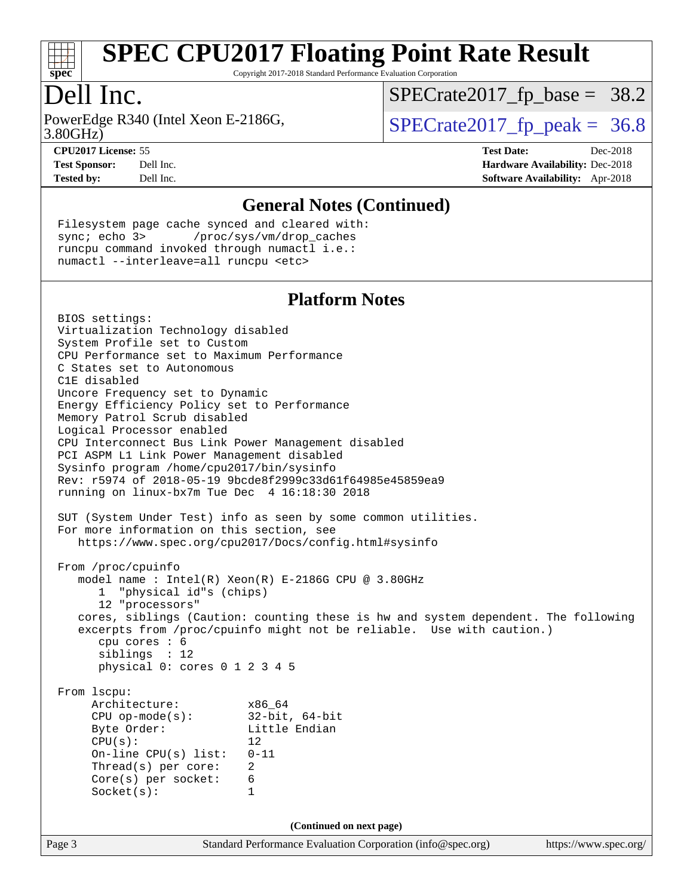

Copyright 2017-2018 Standard Performance Evaluation Corporation

### Dell Inc.

3.80GHz) PowerEdge R340 (Intel Xeon E-2186G,  $\vert$  [SPECrate2017\\_fp\\_peak =](http://www.spec.org/auto/cpu2017/Docs/result-fields.html#SPECrate2017fppeak) 36.8

 $SPECTate2017_fp\_base = 38.2$ 

**[CPU2017 License:](http://www.spec.org/auto/cpu2017/Docs/result-fields.html#CPU2017License)** 55 **[Test Date:](http://www.spec.org/auto/cpu2017/Docs/result-fields.html#TestDate)** Dec-2018 **[Test Sponsor:](http://www.spec.org/auto/cpu2017/Docs/result-fields.html#TestSponsor)** Dell Inc. **[Hardware Availability:](http://www.spec.org/auto/cpu2017/Docs/result-fields.html#HardwareAvailability)** Dec-2018 **[Tested by:](http://www.spec.org/auto/cpu2017/Docs/result-fields.html#Testedby)** Dell Inc. **[Software Availability:](http://www.spec.org/auto/cpu2017/Docs/result-fields.html#SoftwareAvailability)** Apr-2018

#### **[General Notes \(Continued\)](http://www.spec.org/auto/cpu2017/Docs/result-fields.html#GeneralNotes)**

 Filesystem page cache synced and cleared with: sync; echo 3> /proc/sys/vm/drop\_caches runcpu command invoked through numactl i.e.: numactl --interleave=all runcpu <etc>

#### **[Platform Notes](http://www.spec.org/auto/cpu2017/Docs/result-fields.html#PlatformNotes)**

Page 3 Standard Performance Evaluation Corporation [\(info@spec.org\)](mailto:info@spec.org) <https://www.spec.org/> BIOS settings: Virtualization Technology disabled System Profile set to Custom CPU Performance set to Maximum Performance C States set to Autonomous C1E disabled Uncore Frequency set to Dynamic Energy Efficiency Policy set to Performance Memory Patrol Scrub disabled Logical Processor enabled CPU Interconnect Bus Link Power Management disabled PCI ASPM L1 Link Power Management disabled Sysinfo program /home/cpu2017/bin/sysinfo Rev: r5974 of 2018-05-19 9bcde8f2999c33d61f64985e45859ea9 running on linux-bx7m Tue Dec 4 16:18:30 2018 SUT (System Under Test) info as seen by some common utilities. For more information on this section, see <https://www.spec.org/cpu2017/Docs/config.html#sysinfo> From /proc/cpuinfo model name : Intel(R) Xeon(R) E-2186G CPU @ 3.80GHz 1 "physical id"s (chips) 12 "processors" cores, siblings (Caution: counting these is hw and system dependent. The following excerpts from /proc/cpuinfo might not be reliable. Use with caution.) cpu cores : 6 siblings : 12 physical 0: cores 0 1 2 3 4 5 From lscpu: Architecture: x86\_64 CPU op-mode(s): 32-bit, 64-bit Byte Order: Little Endian  $CPU(s):$  12 On-line CPU(s) list: 0-11 Thread(s) per core: 2 Core(s) per socket: 6 Socket(s): 1 **(Continued on next page)**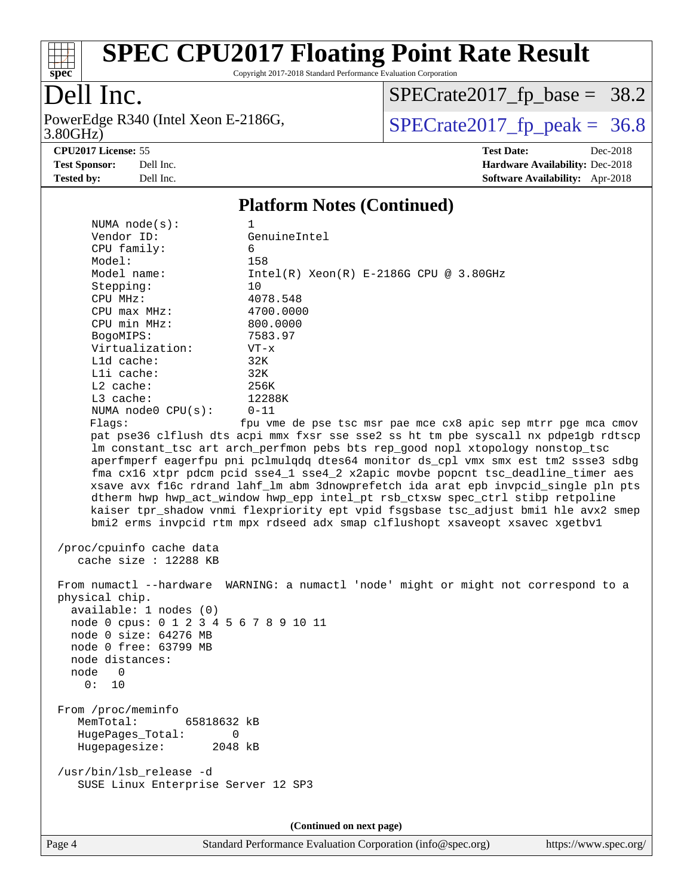

Copyright 2017-2018 Standard Performance Evaluation Corporation

### Dell Inc.

3.80GHz) PowerEdge R340 (Intel Xeon E-2186G,  $\text{SPECrate2017\_fp\_peak} = 36.8$ 

 $SPECrate2017_fp\_base = 38.2$ 

**[CPU2017 License:](http://www.spec.org/auto/cpu2017/Docs/result-fields.html#CPU2017License)** 55 **[Test Date:](http://www.spec.org/auto/cpu2017/Docs/result-fields.html#TestDate)** Dec-2018

**[Test Sponsor:](http://www.spec.org/auto/cpu2017/Docs/result-fields.html#TestSponsor)** Dell Inc. **[Hardware Availability:](http://www.spec.org/auto/cpu2017/Docs/result-fields.html#HardwareAvailability)** Dec-2018 **[Tested by:](http://www.spec.org/auto/cpu2017/Docs/result-fields.html#Testedby)** Dell Inc. **[Software Availability:](http://www.spec.org/auto/cpu2017/Docs/result-fields.html#SoftwareAvailability)** Apr-2018

#### **[Platform Notes \(Continued\)](http://www.spec.org/auto/cpu2017/Docs/result-fields.html#PlatformNotes)**

| NUMA $node(s):$                                                                                                                                                            | 1                                                                                                                                                                                                                                                                                                                                                                                                                                                                                                                                                                                                                                                                                                                                                               |  |  |  |
|----------------------------------------------------------------------------------------------------------------------------------------------------------------------------|-----------------------------------------------------------------------------------------------------------------------------------------------------------------------------------------------------------------------------------------------------------------------------------------------------------------------------------------------------------------------------------------------------------------------------------------------------------------------------------------------------------------------------------------------------------------------------------------------------------------------------------------------------------------------------------------------------------------------------------------------------------------|--|--|--|
| Vendor ID:                                                                                                                                                                 | GenuineIntel                                                                                                                                                                                                                                                                                                                                                                                                                                                                                                                                                                                                                                                                                                                                                    |  |  |  |
| CPU family:                                                                                                                                                                | 6                                                                                                                                                                                                                                                                                                                                                                                                                                                                                                                                                                                                                                                                                                                                                               |  |  |  |
| Model:                                                                                                                                                                     | 158                                                                                                                                                                                                                                                                                                                                                                                                                                                                                                                                                                                                                                                                                                                                                             |  |  |  |
| Model name:                                                                                                                                                                | $Intel(R) Xeon(R) E-2186G CPU @ 3.80GHz$                                                                                                                                                                                                                                                                                                                                                                                                                                                                                                                                                                                                                                                                                                                        |  |  |  |
| Stepping:                                                                                                                                                                  | 10                                                                                                                                                                                                                                                                                                                                                                                                                                                                                                                                                                                                                                                                                                                                                              |  |  |  |
| CPU MHz:                                                                                                                                                                   | 4078.548                                                                                                                                                                                                                                                                                                                                                                                                                                                                                                                                                                                                                                                                                                                                                        |  |  |  |
| $CPU$ $max$ $MHz$ :                                                                                                                                                        | 4700.0000                                                                                                                                                                                                                                                                                                                                                                                                                                                                                                                                                                                                                                                                                                                                                       |  |  |  |
| CPU min MHz:                                                                                                                                                               | 800.0000                                                                                                                                                                                                                                                                                                                                                                                                                                                                                                                                                                                                                                                                                                                                                        |  |  |  |
| BogoMIPS:                                                                                                                                                                  | 7583.97                                                                                                                                                                                                                                                                                                                                                                                                                                                                                                                                                                                                                                                                                                                                                         |  |  |  |
| Virtualization:                                                                                                                                                            | $VT - x$                                                                                                                                                                                                                                                                                                                                                                                                                                                                                                                                                                                                                                                                                                                                                        |  |  |  |
| L1d cache:                                                                                                                                                                 | 32K                                                                                                                                                                                                                                                                                                                                                                                                                                                                                                                                                                                                                                                                                                                                                             |  |  |  |
| Lli cache:                                                                                                                                                                 | 32K                                                                                                                                                                                                                                                                                                                                                                                                                                                                                                                                                                                                                                                                                                                                                             |  |  |  |
| $L2$ cache:                                                                                                                                                                | 256K                                                                                                                                                                                                                                                                                                                                                                                                                                                                                                                                                                                                                                                                                                                                                            |  |  |  |
| L3 cache:                                                                                                                                                                  | 12288K                                                                                                                                                                                                                                                                                                                                                                                                                                                                                                                                                                                                                                                                                                                                                          |  |  |  |
| NUMA node0 CPU(s):                                                                                                                                                         | $0 - 11$                                                                                                                                                                                                                                                                                                                                                                                                                                                                                                                                                                                                                                                                                                                                                        |  |  |  |
| Flags:                                                                                                                                                                     | fpu vme de pse tsc msr pae mce cx8 apic sep mtrr pge mca cmov<br>pat pse36 clflush dts acpi mmx fxsr sse sse2 ss ht tm pbe syscall nx pdpe1gb rdtscp<br>lm constant_tsc art arch_perfmon pebs bts rep_good nopl xtopology nonstop_tsc<br>aperfmperf eagerfpu pni pclmulqdq dtes64 monitor ds_cpl vmx smx est tm2 ssse3 sdbg<br>fma cx16 xtpr pdcm pcid sse4_1 sse4_2 x2apic movbe popcnt tsc_deadline_timer aes<br>xsave avx f16c rdrand lahf_lm abm 3dnowprefetch ida arat epb invpcid_single pln pts<br>dtherm hwp hwp_act_window hwp_epp intel_pt rsb_ctxsw spec_ctrl stibp retpoline<br>kaiser tpr_shadow vnmi flexpriority ept vpid fsgsbase tsc_adjust bmil hle avx2 smep<br>bmi2 erms invpcid rtm mpx rdseed adx smap clflushopt xsaveopt xsavec xgetbvl |  |  |  |
| /proc/cpuinfo cache data<br>cache size : 12288 KB                                                                                                                          |                                                                                                                                                                                                                                                                                                                                                                                                                                                                                                                                                                                                                                                                                                                                                                 |  |  |  |
| physical chip.<br>available: 1 nodes (0)<br>node 0 cpus: 0 1 2 3 4 5 6 7 8 9 10 11<br>node 0 size: 64276 MB<br>node 0 free: 63799 MB<br>node distances:<br>node 0<br>0: 10 | From numactl --hardware WARNING: a numactl 'node' might or might not correspond to a                                                                                                                                                                                                                                                                                                                                                                                                                                                                                                                                                                                                                                                                            |  |  |  |
| From /proc/meminfo<br>MemTotal:<br>65818632 kB<br>HugePages_Total:<br>$\mathbf 0$<br>Hugepagesize:<br>2048 kB                                                              |                                                                                                                                                                                                                                                                                                                                                                                                                                                                                                                                                                                                                                                                                                                                                                 |  |  |  |
| /usr/bin/lsb_release -d<br>SUSE Linux Enterprise Server 12 SP3                                                                                                             |                                                                                                                                                                                                                                                                                                                                                                                                                                                                                                                                                                                                                                                                                                                                                                 |  |  |  |
| (Continued on next page)                                                                                                                                                   |                                                                                                                                                                                                                                                                                                                                                                                                                                                                                                                                                                                                                                                                                                                                                                 |  |  |  |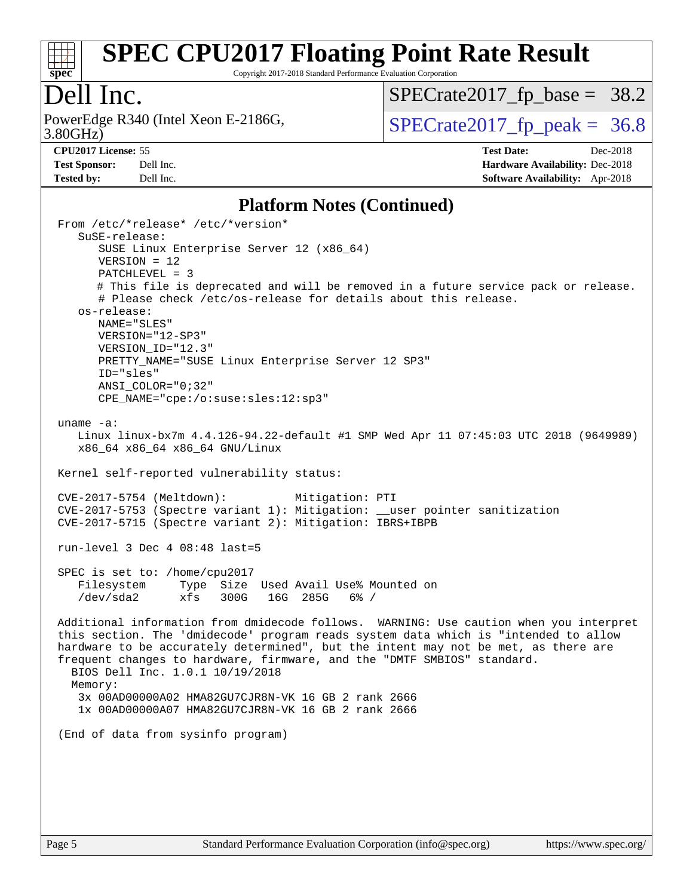

Copyright 2017-2018 Standard Performance Evaluation Corporation

### Dell Inc.

3.80GHz) PowerEdge R340 (Intel Xeon E-2186G,  $\vert$  [SPECrate2017\\_fp\\_peak =](http://www.spec.org/auto/cpu2017/Docs/result-fields.html#SPECrate2017fppeak) 36.8

 $SPECTate2017_fp\_base = 38.2$ 

**[CPU2017 License:](http://www.spec.org/auto/cpu2017/Docs/result-fields.html#CPU2017License)** 55 **[Test Date:](http://www.spec.org/auto/cpu2017/Docs/result-fields.html#TestDate)** Dec-2018

**[Test Sponsor:](http://www.spec.org/auto/cpu2017/Docs/result-fields.html#TestSponsor)** Dell Inc. **[Hardware Availability:](http://www.spec.org/auto/cpu2017/Docs/result-fields.html#HardwareAvailability)** Dec-2018 **[Tested by:](http://www.spec.org/auto/cpu2017/Docs/result-fields.html#Testedby)** Dell Inc. **[Software Availability:](http://www.spec.org/auto/cpu2017/Docs/result-fields.html#SoftwareAvailability)** Apr-2018

#### **[Platform Notes \(Continued\)](http://www.spec.org/auto/cpu2017/Docs/result-fields.html#PlatformNotes)**

```
 From /etc/*release* /etc/*version*
   SuSE-release:
      SUSE Linux Enterprise Server 12 (x86_64)
      VERSION = 12
      PATCHLEVEL = 3
      # This file is deprecated and will be removed in a future service pack or release.
      # Please check /etc/os-release for details about this release.
   os-release:
      NAME="SLES"
      VERSION="12-SP3"
      VERSION_ID="12.3"
     PRETTY NAME="SUSE Linux Enterprise Server 12 SP3"
      ID="sles"
      ANSI_COLOR="0;32"
      CPE_NAME="cpe:/o:suse:sles:12:sp3"
uname -a:
   Linux linux-bx7m 4.4.126-94.22-default #1 SMP Wed Apr 11 07:45:03 UTC 2018 (9649989)
   x86_64 x86_64 x86_64 GNU/Linux
Kernel self-reported vulnerability status:
CVE-2017-5754 (Meltdown): Mitigation: PTI
CVE-2017-5753 (Spectre variant 1): Mitigation: __user pointer sanitization
CVE-2017-5715 (Spectre variant 2): Mitigation: IBRS+IBPB
run-level 3 Dec 4 08:48 last=5
SPEC is set to: /home/cpu2017
   Filesystem Type Size Used Avail Use% Mounted on
   /dev/sda2 xfs 300G 16G 285G 6% /
Additional information from dmidecode follows. WARNING: Use caution when you interpret
this section. The 'dmidecode' program reads system data which is "intended to allow
hardware to be accurately determined", but the intent may not be met, as there are
frequent changes to hardware, firmware, and the "DMTF SMBIOS" standard.
  BIOS Dell Inc. 1.0.1 10/19/2018
 Memory:
   3x 00AD00000A02 HMA82GU7CJR8N-VK 16 GB 2 rank 2666
   1x 00AD00000A07 HMA82GU7CJR8N-VK 16 GB 2 rank 2666
(End of data from sysinfo program)
```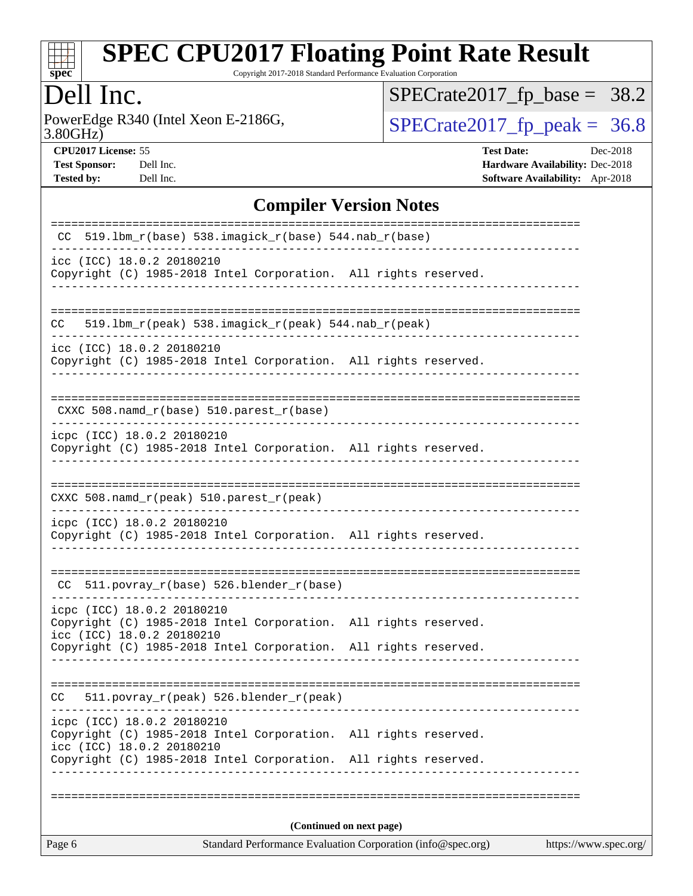

Copyright 2017-2018 Standard Performance Evaluation Corporation

### Dell Inc.

3.80GHz) PowerEdge R340 (Intel Xeon E-2186G,  $\text{SPECrate2017\_fp\_peak} = 36.8$ 

 $SPECrate2017_fp\_base = 38.2$ 

**[CPU2017 License:](http://www.spec.org/auto/cpu2017/Docs/result-fields.html#CPU2017License)** 55 **[Test Date:](http://www.spec.org/auto/cpu2017/Docs/result-fields.html#TestDate)** Dec-2018 **[Test Sponsor:](http://www.spec.org/auto/cpu2017/Docs/result-fields.html#TestSponsor)** Dell Inc. **[Hardware Availability:](http://www.spec.org/auto/cpu2017/Docs/result-fields.html#HardwareAvailability)** Dec-2018 **[Tested by:](http://www.spec.org/auto/cpu2017/Docs/result-fields.html#Testedby)** Dell Inc. **[Software Availability:](http://www.spec.org/auto/cpu2017/Docs/result-fields.html#SoftwareAvailability)** Apr-2018

#### **[Compiler Version Notes](http://www.spec.org/auto/cpu2017/Docs/result-fields.html#CompilerVersionNotes)**

| Page 6 |                                                                                                                                                                 | Standard Performance Evaluation Corporation (info@spec.org)<br>https://www.spec.org/ |  |  |  |  |
|--------|-----------------------------------------------------------------------------------------------------------------------------------------------------------------|--------------------------------------------------------------------------------------|--|--|--|--|
|        | (Continued on next page)                                                                                                                                        |                                                                                      |  |  |  |  |
|        | _____________                                                                                                                                                   |                                                                                      |  |  |  |  |
|        | Copyright (C) 1985-2018 Intel Corporation. All rights reserved.<br>icc (ICC) 18.0.2 20180210<br>Copyright (C) 1985-2018 Intel Corporation. All rights reserved. |                                                                                      |  |  |  |  |
|        | icpc (ICC) 18.0.2 20180210                                                                                                                                      |                                                                                      |  |  |  |  |
| CC.    | 511.povray_r(peak) 526.blender_r(peak)                                                                                                                          |                                                                                      |  |  |  |  |
|        | Copyright (C) 1985-2018 Intel Corporation. All rights reserved.                                                                                                 |                                                                                      |  |  |  |  |
|        | icpc (ICC) 18.0.2 20180210<br>Copyright (C) 1985-2018 Intel Corporation. All rights reserved.<br>icc (ICC) 18.0.2 20180210                                      |                                                                                      |  |  |  |  |
|        | CC 511.povray_r(base) 526.blender_r(base)                                                                                                                       |                                                                                      |  |  |  |  |
|        | icpc (ICC) 18.0.2 20180210<br>Copyright (C) 1985-2018 Intel Corporation. All rights reserved.                                                                   |                                                                                      |  |  |  |  |
|        | CXXC 508.namd_r(peak) 510.parest_r(peak)                                                                                                                        |                                                                                      |  |  |  |  |
|        |                                                                                                                                                                 |                                                                                      |  |  |  |  |
|        | icpc (ICC) 18.0.2 20180210<br>Copyright (C) 1985-2018 Intel Corporation. All rights reserved.                                                                   |                                                                                      |  |  |  |  |
|        | CXXC 508.namd_r(base) 510.parest_r(base)                                                                                                                        |                                                                                      |  |  |  |  |
|        | icc (ICC) 18.0.2 20180210<br>Copyright (C) 1985-2018 Intel Corporation. All rights reserved.                                                                    |                                                                                      |  |  |  |  |
| CC     | 519.1bm_r(peak) 538.imagick_r(peak) 544.nab_r(peak)                                                                                                             |                                                                                      |  |  |  |  |
|        | icc (ICC) 18.0.2 20180210<br>Copyright (C) 1985-2018 Intel Corporation. All rights reserved.                                                                    |                                                                                      |  |  |  |  |
|        | CC $519.1bm_r(base) 538.imagick_r(base) 544.nab_r(base)$                                                                                                        |                                                                                      |  |  |  |  |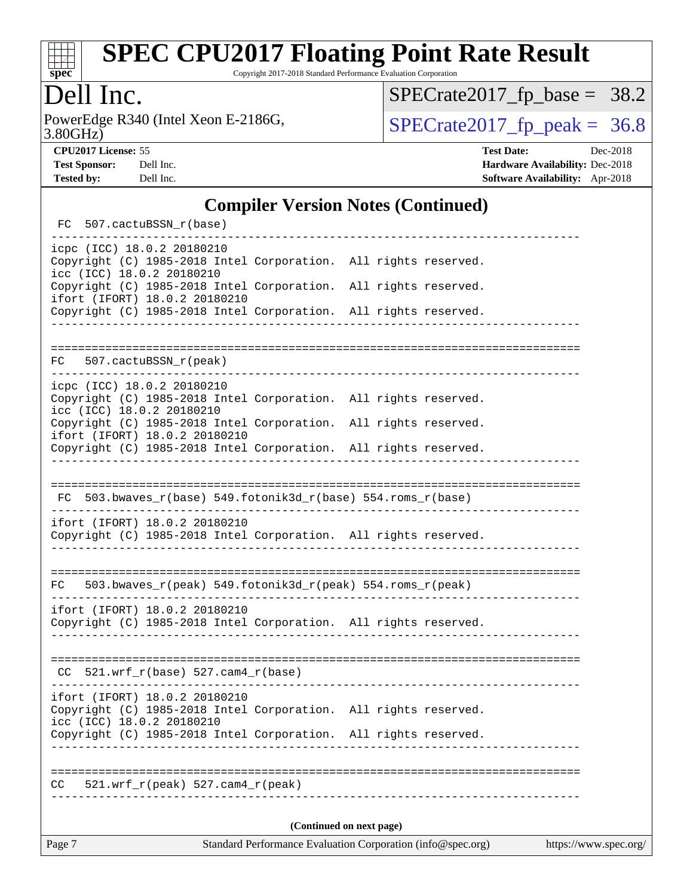

Copyright 2017-2018 Standard Performance Evaluation Corporation

### Dell Inc.

3.80GHz) PowerEdge R340 (Intel Xeon E-2186G,  $\text{SPECrate2017\_fp\_peak} = 36.8$ 

 $SPECrate2017_fp\_base = 38.2$ 

**[CPU2017 License:](http://www.spec.org/auto/cpu2017/Docs/result-fields.html#CPU2017License)** 55 **[Test Date:](http://www.spec.org/auto/cpu2017/Docs/result-fields.html#TestDate)** Dec-2018

**[Test Sponsor:](http://www.spec.org/auto/cpu2017/Docs/result-fields.html#TestSponsor)** Dell Inc. **[Hardware Availability:](http://www.spec.org/auto/cpu2017/Docs/result-fields.html#HardwareAvailability)** Dec-2018 **[Tested by:](http://www.spec.org/auto/cpu2017/Docs/result-fields.html#Testedby)** Dell Inc. **[Software Availability:](http://www.spec.org/auto/cpu2017/Docs/result-fields.html#SoftwareAvailability)** Apr-2018

#### **[Compiler Version Notes \(Continued\)](http://www.spec.org/auto/cpu2017/Docs/result-fields.html#CompilerVersionNotes)**

| FC 507.cactuBSSN_r(base)                                                                                                                                                                      |  |  |  |  |  |
|-----------------------------------------------------------------------------------------------------------------------------------------------------------------------------------------------|--|--|--|--|--|
| icpc (ICC) 18.0.2 20180210<br>Copyright (C) 1985-2018 Intel Corporation. All rights reserved.<br>icc (ICC) 18.0.2 20180210<br>Copyright (C) 1985-2018 Intel Corporation. All rights reserved. |  |  |  |  |  |
| ifort (IFORT) 18.0.2 20180210<br>Copyright (C) 1985-2018 Intel Corporation. All rights reserved.                                                                                              |  |  |  |  |  |
|                                                                                                                                                                                               |  |  |  |  |  |
| FC 507.cactuBSSN_r(peak)                                                                                                                                                                      |  |  |  |  |  |
| icpc (ICC) 18.0.2 20180210<br>Copyright (C) 1985-2018 Intel Corporation. All rights reserved.                                                                                                 |  |  |  |  |  |
| icc (ICC) 18.0.2 20180210<br>Copyright (C) 1985-2018 Intel Corporation. All rights reserved.                                                                                                  |  |  |  |  |  |
| ifort (IFORT) 18.0.2 20180210<br>Copyright (C) 1985-2018 Intel Corporation. All rights reserved.                                                                                              |  |  |  |  |  |
|                                                                                                                                                                                               |  |  |  |  |  |
| $FC$ 503.bwaves_r(base) 549.fotonik3d_r(base) 554.roms_r(base)                                                                                                                                |  |  |  |  |  |
| ifort (IFORT) 18.0.2 20180210<br>Copyright (C) 1985-2018 Intel Corporation. All rights reserved.                                                                                              |  |  |  |  |  |
|                                                                                                                                                                                               |  |  |  |  |  |
| 503.bwaves_r(peak) 549.fotonik3d_r(peak) 554.roms_r(peak)<br>FC                                                                                                                               |  |  |  |  |  |
| ifort (IFORT) 18.0.2 20180210<br>Copyright (C) 1985-2018 Intel Corporation. All rights reserved.                                                                                              |  |  |  |  |  |
| $CC$ 521.wrf_r(base) 527.cam4_r(base)                                                                                                                                                         |  |  |  |  |  |
| ifort (IFORT) 18.0.2 20180210<br>Copyright (C) 1985-2018 Intel Corporation. All rights reserved.<br>icc (ICC) 18.0.2 20180210                                                                 |  |  |  |  |  |
| Copyright (C) 1985-2018 Intel Corporation. All rights reserved.                                                                                                                               |  |  |  |  |  |
|                                                                                                                                                                                               |  |  |  |  |  |
| $521.wrf_r(peak) 527.cam4_r(peak)$<br>CC                                                                                                                                                      |  |  |  |  |  |
|                                                                                                                                                                                               |  |  |  |  |  |
| (Continued on next page)                                                                                                                                                                      |  |  |  |  |  |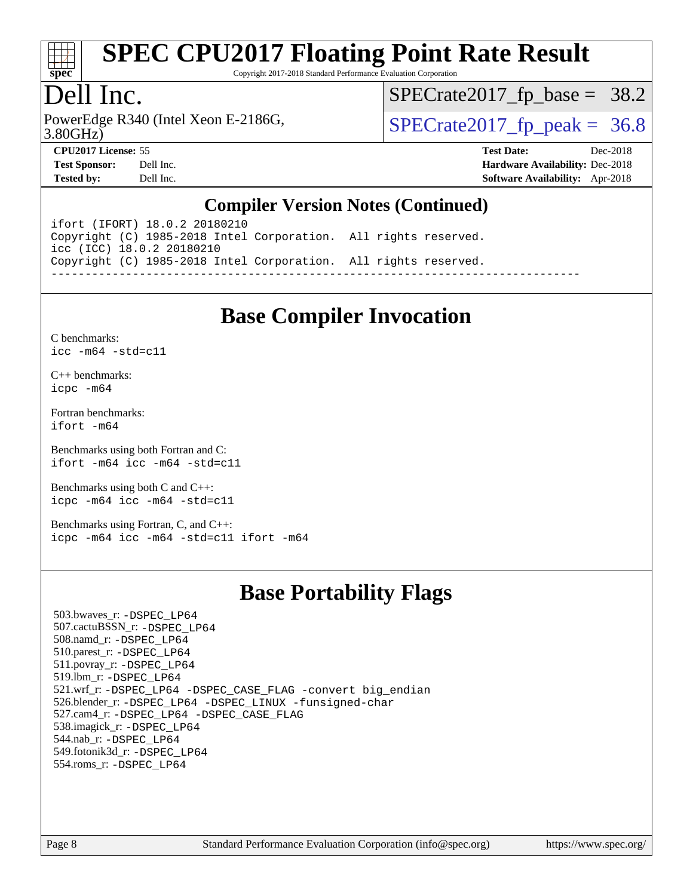

Copyright 2017-2018 Standard Performance Evaluation Corporation

### Dell Inc.

3.80GHz) PowerEdge R340 (Intel Xeon E-2186G,  $\vert$  [SPECrate2017\\_fp\\_peak =](http://www.spec.org/auto/cpu2017/Docs/result-fields.html#SPECrate2017fppeak) 36.8

 $SPECTate2017_fp\_base = 38.2$ 

**[CPU2017 License:](http://www.spec.org/auto/cpu2017/Docs/result-fields.html#CPU2017License)** 55 **[Test Date:](http://www.spec.org/auto/cpu2017/Docs/result-fields.html#TestDate)** Dec-2018 **[Test Sponsor:](http://www.spec.org/auto/cpu2017/Docs/result-fields.html#TestSponsor)** Dell Inc. **[Hardware Availability:](http://www.spec.org/auto/cpu2017/Docs/result-fields.html#HardwareAvailability)** Dec-2018 **[Tested by:](http://www.spec.org/auto/cpu2017/Docs/result-fields.html#Testedby)** Dell Inc. **[Software Availability:](http://www.spec.org/auto/cpu2017/Docs/result-fields.html#SoftwareAvailability)** Apr-2018

#### **[Compiler Version Notes \(Continued\)](http://www.spec.org/auto/cpu2017/Docs/result-fields.html#CompilerVersionNotes)**

ifort (IFORT) 18.0.2 20180210 Copyright (C) 1985-2018 Intel Corporation. All rights reserved. icc (ICC) 18.0.2 20180210 Copyright (C) 1985-2018 Intel Corporation. All rights reserved. ------------------------------------------------------------------------------

#### **[Base Compiler Invocation](http://www.spec.org/auto/cpu2017/Docs/result-fields.html#BaseCompilerInvocation)**

[C benchmarks](http://www.spec.org/auto/cpu2017/Docs/result-fields.html#Cbenchmarks): [icc -m64 -std=c11](http://www.spec.org/cpu2017/results/res2018q4/cpu2017-20181210-10211.flags.html#user_CCbase_intel_icc_64bit_c11_33ee0cdaae7deeeab2a9725423ba97205ce30f63b9926c2519791662299b76a0318f32ddfffdc46587804de3178b4f9328c46fa7c2b0cd779d7a61945c91cd35)

[C++ benchmarks:](http://www.spec.org/auto/cpu2017/Docs/result-fields.html#CXXbenchmarks) [icpc -m64](http://www.spec.org/cpu2017/results/res2018q4/cpu2017-20181210-10211.flags.html#user_CXXbase_intel_icpc_64bit_4ecb2543ae3f1412ef961e0650ca070fec7b7afdcd6ed48761b84423119d1bf6bdf5cad15b44d48e7256388bc77273b966e5eb805aefd121eb22e9299b2ec9d9)

[Fortran benchmarks](http://www.spec.org/auto/cpu2017/Docs/result-fields.html#Fortranbenchmarks): [ifort -m64](http://www.spec.org/cpu2017/results/res2018q4/cpu2017-20181210-10211.flags.html#user_FCbase_intel_ifort_64bit_24f2bb282fbaeffd6157abe4f878425411749daecae9a33200eee2bee2fe76f3b89351d69a8130dd5949958ce389cf37ff59a95e7a40d588e8d3a57e0c3fd751)

[Benchmarks using both Fortran and C](http://www.spec.org/auto/cpu2017/Docs/result-fields.html#BenchmarksusingbothFortranandC): [ifort -m64](http://www.spec.org/cpu2017/results/res2018q4/cpu2017-20181210-10211.flags.html#user_CC_FCbase_intel_ifort_64bit_24f2bb282fbaeffd6157abe4f878425411749daecae9a33200eee2bee2fe76f3b89351d69a8130dd5949958ce389cf37ff59a95e7a40d588e8d3a57e0c3fd751) [icc -m64 -std=c11](http://www.spec.org/cpu2017/results/res2018q4/cpu2017-20181210-10211.flags.html#user_CC_FCbase_intel_icc_64bit_c11_33ee0cdaae7deeeab2a9725423ba97205ce30f63b9926c2519791662299b76a0318f32ddfffdc46587804de3178b4f9328c46fa7c2b0cd779d7a61945c91cd35)

[Benchmarks using both C and C++](http://www.spec.org/auto/cpu2017/Docs/result-fields.html#BenchmarksusingbothCandCXX): [icpc -m64](http://www.spec.org/cpu2017/results/res2018q4/cpu2017-20181210-10211.flags.html#user_CC_CXXbase_intel_icpc_64bit_4ecb2543ae3f1412ef961e0650ca070fec7b7afdcd6ed48761b84423119d1bf6bdf5cad15b44d48e7256388bc77273b966e5eb805aefd121eb22e9299b2ec9d9) [icc -m64 -std=c11](http://www.spec.org/cpu2017/results/res2018q4/cpu2017-20181210-10211.flags.html#user_CC_CXXbase_intel_icc_64bit_c11_33ee0cdaae7deeeab2a9725423ba97205ce30f63b9926c2519791662299b76a0318f32ddfffdc46587804de3178b4f9328c46fa7c2b0cd779d7a61945c91cd35)

[Benchmarks using Fortran, C, and C++:](http://www.spec.org/auto/cpu2017/Docs/result-fields.html#BenchmarksusingFortranCandCXX) [icpc -m64](http://www.spec.org/cpu2017/results/res2018q4/cpu2017-20181210-10211.flags.html#user_CC_CXX_FCbase_intel_icpc_64bit_4ecb2543ae3f1412ef961e0650ca070fec7b7afdcd6ed48761b84423119d1bf6bdf5cad15b44d48e7256388bc77273b966e5eb805aefd121eb22e9299b2ec9d9) [icc -m64 -std=c11](http://www.spec.org/cpu2017/results/res2018q4/cpu2017-20181210-10211.flags.html#user_CC_CXX_FCbase_intel_icc_64bit_c11_33ee0cdaae7deeeab2a9725423ba97205ce30f63b9926c2519791662299b76a0318f32ddfffdc46587804de3178b4f9328c46fa7c2b0cd779d7a61945c91cd35) [ifort -m64](http://www.spec.org/cpu2017/results/res2018q4/cpu2017-20181210-10211.flags.html#user_CC_CXX_FCbase_intel_ifort_64bit_24f2bb282fbaeffd6157abe4f878425411749daecae9a33200eee2bee2fe76f3b89351d69a8130dd5949958ce389cf37ff59a95e7a40d588e8d3a57e0c3fd751)

#### **[Base Portability Flags](http://www.spec.org/auto/cpu2017/Docs/result-fields.html#BasePortabilityFlags)**

 503.bwaves\_r: [-DSPEC\\_LP64](http://www.spec.org/cpu2017/results/res2018q4/cpu2017-20181210-10211.flags.html#suite_basePORTABILITY503_bwaves_r_DSPEC_LP64) 507.cactuBSSN\_r: [-DSPEC\\_LP64](http://www.spec.org/cpu2017/results/res2018q4/cpu2017-20181210-10211.flags.html#suite_basePORTABILITY507_cactuBSSN_r_DSPEC_LP64) 508.namd\_r: [-DSPEC\\_LP64](http://www.spec.org/cpu2017/results/res2018q4/cpu2017-20181210-10211.flags.html#suite_basePORTABILITY508_namd_r_DSPEC_LP64) 510.parest\_r: [-DSPEC\\_LP64](http://www.spec.org/cpu2017/results/res2018q4/cpu2017-20181210-10211.flags.html#suite_basePORTABILITY510_parest_r_DSPEC_LP64) 511.povray\_r: [-DSPEC\\_LP64](http://www.spec.org/cpu2017/results/res2018q4/cpu2017-20181210-10211.flags.html#suite_basePORTABILITY511_povray_r_DSPEC_LP64) 519.lbm\_r: [-DSPEC\\_LP64](http://www.spec.org/cpu2017/results/res2018q4/cpu2017-20181210-10211.flags.html#suite_basePORTABILITY519_lbm_r_DSPEC_LP64) 521.wrf\_r: [-DSPEC\\_LP64](http://www.spec.org/cpu2017/results/res2018q4/cpu2017-20181210-10211.flags.html#suite_basePORTABILITY521_wrf_r_DSPEC_LP64) [-DSPEC\\_CASE\\_FLAG](http://www.spec.org/cpu2017/results/res2018q4/cpu2017-20181210-10211.flags.html#b521.wrf_r_baseCPORTABILITY_DSPEC_CASE_FLAG) [-convert big\\_endian](http://www.spec.org/cpu2017/results/res2018q4/cpu2017-20181210-10211.flags.html#user_baseFPORTABILITY521_wrf_r_convert_big_endian_c3194028bc08c63ac5d04de18c48ce6d347e4e562e8892b8bdbdc0214820426deb8554edfa529a3fb25a586e65a3d812c835984020483e7e73212c4d31a38223) 526.blender\_r: [-DSPEC\\_LP64](http://www.spec.org/cpu2017/results/res2018q4/cpu2017-20181210-10211.flags.html#suite_basePORTABILITY526_blender_r_DSPEC_LP64) [-DSPEC\\_LINUX](http://www.spec.org/cpu2017/results/res2018q4/cpu2017-20181210-10211.flags.html#b526.blender_r_baseCPORTABILITY_DSPEC_LINUX) [-funsigned-char](http://www.spec.org/cpu2017/results/res2018q4/cpu2017-20181210-10211.flags.html#user_baseCPORTABILITY526_blender_r_force_uchar_40c60f00ab013830e2dd6774aeded3ff59883ba5a1fc5fc14077f794d777847726e2a5858cbc7672e36e1b067e7e5c1d9a74f7176df07886a243d7cc18edfe67) 527.cam4\_r: [-DSPEC\\_LP64](http://www.spec.org/cpu2017/results/res2018q4/cpu2017-20181210-10211.flags.html#suite_basePORTABILITY527_cam4_r_DSPEC_LP64) [-DSPEC\\_CASE\\_FLAG](http://www.spec.org/cpu2017/results/res2018q4/cpu2017-20181210-10211.flags.html#b527.cam4_r_baseCPORTABILITY_DSPEC_CASE_FLAG) 538.imagick\_r: [-DSPEC\\_LP64](http://www.spec.org/cpu2017/results/res2018q4/cpu2017-20181210-10211.flags.html#suite_basePORTABILITY538_imagick_r_DSPEC_LP64) 544.nab\_r: [-DSPEC\\_LP64](http://www.spec.org/cpu2017/results/res2018q4/cpu2017-20181210-10211.flags.html#suite_basePORTABILITY544_nab_r_DSPEC_LP64) 549.fotonik3d\_r: [-DSPEC\\_LP64](http://www.spec.org/cpu2017/results/res2018q4/cpu2017-20181210-10211.flags.html#suite_basePORTABILITY549_fotonik3d_r_DSPEC_LP64) 554.roms\_r: [-DSPEC\\_LP64](http://www.spec.org/cpu2017/results/res2018q4/cpu2017-20181210-10211.flags.html#suite_basePORTABILITY554_roms_r_DSPEC_LP64)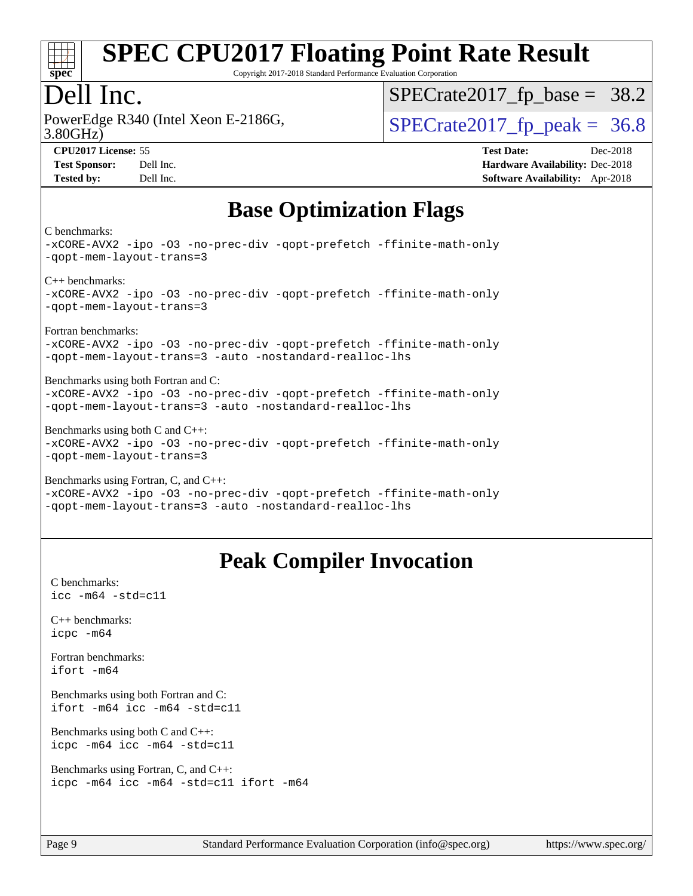

Copyright 2017-2018 Standard Performance Evaluation Corporation

#### Dell Inc.

3.80GHz) PowerEdge R340 (Intel Xeon E-2186G,  $\vert$  [SPECrate2017\\_fp\\_peak =](http://www.spec.org/auto/cpu2017/Docs/result-fields.html#SPECrate2017fppeak) 36.8

 $SPECTate2017_fp\_base = 38.2$ 

**[CPU2017 License:](http://www.spec.org/auto/cpu2017/Docs/result-fields.html#CPU2017License)** 55 **[Test Date:](http://www.spec.org/auto/cpu2017/Docs/result-fields.html#TestDate)** Dec-2018 **[Test Sponsor:](http://www.spec.org/auto/cpu2017/Docs/result-fields.html#TestSponsor)** Dell Inc. **[Hardware Availability:](http://www.spec.org/auto/cpu2017/Docs/result-fields.html#HardwareAvailability)** Dec-2018 **[Tested by:](http://www.spec.org/auto/cpu2017/Docs/result-fields.html#Testedby)** Dell Inc. **[Software Availability:](http://www.spec.org/auto/cpu2017/Docs/result-fields.html#SoftwareAvailability)** Apr-2018

### **[Base Optimization Flags](http://www.spec.org/auto/cpu2017/Docs/result-fields.html#BaseOptimizationFlags)**

[C benchmarks:](http://www.spec.org/auto/cpu2017/Docs/result-fields.html#Cbenchmarks)

[-xCORE-AVX2](http://www.spec.org/cpu2017/results/res2018q4/cpu2017-20181210-10211.flags.html#user_CCbase_f-xCORE-AVX2) [-ipo](http://www.spec.org/cpu2017/results/res2018q4/cpu2017-20181210-10211.flags.html#user_CCbase_f-ipo) [-O3](http://www.spec.org/cpu2017/results/res2018q4/cpu2017-20181210-10211.flags.html#user_CCbase_f-O3) [-no-prec-div](http://www.spec.org/cpu2017/results/res2018q4/cpu2017-20181210-10211.flags.html#user_CCbase_f-no-prec-div) [-qopt-prefetch](http://www.spec.org/cpu2017/results/res2018q4/cpu2017-20181210-10211.flags.html#user_CCbase_f-qopt-prefetch) [-ffinite-math-only](http://www.spec.org/cpu2017/results/res2018q4/cpu2017-20181210-10211.flags.html#user_CCbase_f_finite_math_only_cb91587bd2077682c4b38af759c288ed7c732db004271a9512da14a4f8007909a5f1427ecbf1a0fb78ff2a814402c6114ac565ca162485bbcae155b5e4258871) [-qopt-mem-layout-trans=3](http://www.spec.org/cpu2017/results/res2018q4/cpu2017-20181210-10211.flags.html#user_CCbase_f-qopt-mem-layout-trans_de80db37974c74b1f0e20d883f0b675c88c3b01e9d123adea9b28688d64333345fb62bc4a798493513fdb68f60282f9a726aa07f478b2f7113531aecce732043) [C++ benchmarks](http://www.spec.org/auto/cpu2017/Docs/result-fields.html#CXXbenchmarks): [-xCORE-AVX2](http://www.spec.org/cpu2017/results/res2018q4/cpu2017-20181210-10211.flags.html#user_CXXbase_f-xCORE-AVX2) [-ipo](http://www.spec.org/cpu2017/results/res2018q4/cpu2017-20181210-10211.flags.html#user_CXXbase_f-ipo) [-O3](http://www.spec.org/cpu2017/results/res2018q4/cpu2017-20181210-10211.flags.html#user_CXXbase_f-O3) [-no-prec-div](http://www.spec.org/cpu2017/results/res2018q4/cpu2017-20181210-10211.flags.html#user_CXXbase_f-no-prec-div) [-qopt-prefetch](http://www.spec.org/cpu2017/results/res2018q4/cpu2017-20181210-10211.flags.html#user_CXXbase_f-qopt-prefetch) [-ffinite-math-only](http://www.spec.org/cpu2017/results/res2018q4/cpu2017-20181210-10211.flags.html#user_CXXbase_f_finite_math_only_cb91587bd2077682c4b38af759c288ed7c732db004271a9512da14a4f8007909a5f1427ecbf1a0fb78ff2a814402c6114ac565ca162485bbcae155b5e4258871) [-qopt-mem-layout-trans=3](http://www.spec.org/cpu2017/results/res2018q4/cpu2017-20181210-10211.flags.html#user_CXXbase_f-qopt-mem-layout-trans_de80db37974c74b1f0e20d883f0b675c88c3b01e9d123adea9b28688d64333345fb62bc4a798493513fdb68f60282f9a726aa07f478b2f7113531aecce732043) [Fortran benchmarks:](http://www.spec.org/auto/cpu2017/Docs/result-fields.html#Fortranbenchmarks) [-xCORE-AVX2](http://www.spec.org/cpu2017/results/res2018q4/cpu2017-20181210-10211.flags.html#user_FCbase_f-xCORE-AVX2) [-ipo](http://www.spec.org/cpu2017/results/res2018q4/cpu2017-20181210-10211.flags.html#user_FCbase_f-ipo) [-O3](http://www.spec.org/cpu2017/results/res2018q4/cpu2017-20181210-10211.flags.html#user_FCbase_f-O3) [-no-prec-div](http://www.spec.org/cpu2017/results/res2018q4/cpu2017-20181210-10211.flags.html#user_FCbase_f-no-prec-div) [-qopt-prefetch](http://www.spec.org/cpu2017/results/res2018q4/cpu2017-20181210-10211.flags.html#user_FCbase_f-qopt-prefetch) [-ffinite-math-only](http://www.spec.org/cpu2017/results/res2018q4/cpu2017-20181210-10211.flags.html#user_FCbase_f_finite_math_only_cb91587bd2077682c4b38af759c288ed7c732db004271a9512da14a4f8007909a5f1427ecbf1a0fb78ff2a814402c6114ac565ca162485bbcae155b5e4258871) [-qopt-mem-layout-trans=3](http://www.spec.org/cpu2017/results/res2018q4/cpu2017-20181210-10211.flags.html#user_FCbase_f-qopt-mem-layout-trans_de80db37974c74b1f0e20d883f0b675c88c3b01e9d123adea9b28688d64333345fb62bc4a798493513fdb68f60282f9a726aa07f478b2f7113531aecce732043) [-auto](http://www.spec.org/cpu2017/results/res2018q4/cpu2017-20181210-10211.flags.html#user_FCbase_f-auto) [-nostandard-realloc-lhs](http://www.spec.org/cpu2017/results/res2018q4/cpu2017-20181210-10211.flags.html#user_FCbase_f_2003_std_realloc_82b4557e90729c0f113870c07e44d33d6f5a304b4f63d4c15d2d0f1fab99f5daaed73bdb9275d9ae411527f28b936061aa8b9c8f2d63842963b95c9dd6426b8a) [Benchmarks using both Fortran and C:](http://www.spec.org/auto/cpu2017/Docs/result-fields.html#BenchmarksusingbothFortranandC) [-xCORE-AVX2](http://www.spec.org/cpu2017/results/res2018q4/cpu2017-20181210-10211.flags.html#user_CC_FCbase_f-xCORE-AVX2) [-ipo](http://www.spec.org/cpu2017/results/res2018q4/cpu2017-20181210-10211.flags.html#user_CC_FCbase_f-ipo) [-O3](http://www.spec.org/cpu2017/results/res2018q4/cpu2017-20181210-10211.flags.html#user_CC_FCbase_f-O3) [-no-prec-div](http://www.spec.org/cpu2017/results/res2018q4/cpu2017-20181210-10211.flags.html#user_CC_FCbase_f-no-prec-div) [-qopt-prefetch](http://www.spec.org/cpu2017/results/res2018q4/cpu2017-20181210-10211.flags.html#user_CC_FCbase_f-qopt-prefetch) [-ffinite-math-only](http://www.spec.org/cpu2017/results/res2018q4/cpu2017-20181210-10211.flags.html#user_CC_FCbase_f_finite_math_only_cb91587bd2077682c4b38af759c288ed7c732db004271a9512da14a4f8007909a5f1427ecbf1a0fb78ff2a814402c6114ac565ca162485bbcae155b5e4258871) [-qopt-mem-layout-trans=3](http://www.spec.org/cpu2017/results/res2018q4/cpu2017-20181210-10211.flags.html#user_CC_FCbase_f-qopt-mem-layout-trans_de80db37974c74b1f0e20d883f0b675c88c3b01e9d123adea9b28688d64333345fb62bc4a798493513fdb68f60282f9a726aa07f478b2f7113531aecce732043) [-auto](http://www.spec.org/cpu2017/results/res2018q4/cpu2017-20181210-10211.flags.html#user_CC_FCbase_f-auto) [-nostandard-realloc-lhs](http://www.spec.org/cpu2017/results/res2018q4/cpu2017-20181210-10211.flags.html#user_CC_FCbase_f_2003_std_realloc_82b4557e90729c0f113870c07e44d33d6f5a304b4f63d4c15d2d0f1fab99f5daaed73bdb9275d9ae411527f28b936061aa8b9c8f2d63842963b95c9dd6426b8a) [Benchmarks using both C and C++](http://www.spec.org/auto/cpu2017/Docs/result-fields.html#BenchmarksusingbothCandCXX): [-xCORE-AVX2](http://www.spec.org/cpu2017/results/res2018q4/cpu2017-20181210-10211.flags.html#user_CC_CXXbase_f-xCORE-AVX2) [-ipo](http://www.spec.org/cpu2017/results/res2018q4/cpu2017-20181210-10211.flags.html#user_CC_CXXbase_f-ipo) [-O3](http://www.spec.org/cpu2017/results/res2018q4/cpu2017-20181210-10211.flags.html#user_CC_CXXbase_f-O3) [-no-prec-div](http://www.spec.org/cpu2017/results/res2018q4/cpu2017-20181210-10211.flags.html#user_CC_CXXbase_f-no-prec-div) [-qopt-prefetch](http://www.spec.org/cpu2017/results/res2018q4/cpu2017-20181210-10211.flags.html#user_CC_CXXbase_f-qopt-prefetch) [-ffinite-math-only](http://www.spec.org/cpu2017/results/res2018q4/cpu2017-20181210-10211.flags.html#user_CC_CXXbase_f_finite_math_only_cb91587bd2077682c4b38af759c288ed7c732db004271a9512da14a4f8007909a5f1427ecbf1a0fb78ff2a814402c6114ac565ca162485bbcae155b5e4258871) [-qopt-mem-layout-trans=3](http://www.spec.org/cpu2017/results/res2018q4/cpu2017-20181210-10211.flags.html#user_CC_CXXbase_f-qopt-mem-layout-trans_de80db37974c74b1f0e20d883f0b675c88c3b01e9d123adea9b28688d64333345fb62bc4a798493513fdb68f60282f9a726aa07f478b2f7113531aecce732043) [Benchmarks using Fortran, C, and C++](http://www.spec.org/auto/cpu2017/Docs/result-fields.html#BenchmarksusingFortranCandCXX): [-xCORE-AVX2](http://www.spec.org/cpu2017/results/res2018q4/cpu2017-20181210-10211.flags.html#user_CC_CXX_FCbase_f-xCORE-AVX2) [-ipo](http://www.spec.org/cpu2017/results/res2018q4/cpu2017-20181210-10211.flags.html#user_CC_CXX_FCbase_f-ipo) [-O3](http://www.spec.org/cpu2017/results/res2018q4/cpu2017-20181210-10211.flags.html#user_CC_CXX_FCbase_f-O3) [-no-prec-div](http://www.spec.org/cpu2017/results/res2018q4/cpu2017-20181210-10211.flags.html#user_CC_CXX_FCbase_f-no-prec-div) [-qopt-prefetch](http://www.spec.org/cpu2017/results/res2018q4/cpu2017-20181210-10211.flags.html#user_CC_CXX_FCbase_f-qopt-prefetch) [-ffinite-math-only](http://www.spec.org/cpu2017/results/res2018q4/cpu2017-20181210-10211.flags.html#user_CC_CXX_FCbase_f_finite_math_only_cb91587bd2077682c4b38af759c288ed7c732db004271a9512da14a4f8007909a5f1427ecbf1a0fb78ff2a814402c6114ac565ca162485bbcae155b5e4258871)

#### [-qopt-mem-layout-trans=3](http://www.spec.org/cpu2017/results/res2018q4/cpu2017-20181210-10211.flags.html#user_CC_CXX_FCbase_f-qopt-mem-layout-trans_de80db37974c74b1f0e20d883f0b675c88c3b01e9d123adea9b28688d64333345fb62bc4a798493513fdb68f60282f9a726aa07f478b2f7113531aecce732043) [-auto](http://www.spec.org/cpu2017/results/res2018q4/cpu2017-20181210-10211.flags.html#user_CC_CXX_FCbase_f-auto) [-nostandard-realloc-lhs](http://www.spec.org/cpu2017/results/res2018q4/cpu2017-20181210-10211.flags.html#user_CC_CXX_FCbase_f_2003_std_realloc_82b4557e90729c0f113870c07e44d33d6f5a304b4f63d4c15d2d0f1fab99f5daaed73bdb9275d9ae411527f28b936061aa8b9c8f2d63842963b95c9dd6426b8a)

### **[Peak Compiler Invocation](http://www.spec.org/auto/cpu2017/Docs/result-fields.html#PeakCompilerInvocation)**

[C benchmarks](http://www.spec.org/auto/cpu2017/Docs/result-fields.html#Cbenchmarks): [icc -m64 -std=c11](http://www.spec.org/cpu2017/results/res2018q4/cpu2017-20181210-10211.flags.html#user_CCpeak_intel_icc_64bit_c11_33ee0cdaae7deeeab2a9725423ba97205ce30f63b9926c2519791662299b76a0318f32ddfffdc46587804de3178b4f9328c46fa7c2b0cd779d7a61945c91cd35)

[C++ benchmarks:](http://www.spec.org/auto/cpu2017/Docs/result-fields.html#CXXbenchmarks) [icpc -m64](http://www.spec.org/cpu2017/results/res2018q4/cpu2017-20181210-10211.flags.html#user_CXXpeak_intel_icpc_64bit_4ecb2543ae3f1412ef961e0650ca070fec7b7afdcd6ed48761b84423119d1bf6bdf5cad15b44d48e7256388bc77273b966e5eb805aefd121eb22e9299b2ec9d9)

[Fortran benchmarks](http://www.spec.org/auto/cpu2017/Docs/result-fields.html#Fortranbenchmarks): [ifort -m64](http://www.spec.org/cpu2017/results/res2018q4/cpu2017-20181210-10211.flags.html#user_FCpeak_intel_ifort_64bit_24f2bb282fbaeffd6157abe4f878425411749daecae9a33200eee2bee2fe76f3b89351d69a8130dd5949958ce389cf37ff59a95e7a40d588e8d3a57e0c3fd751)

[Benchmarks using both Fortran and C](http://www.spec.org/auto/cpu2017/Docs/result-fields.html#BenchmarksusingbothFortranandC): [ifort -m64](http://www.spec.org/cpu2017/results/res2018q4/cpu2017-20181210-10211.flags.html#user_CC_FCpeak_intel_ifort_64bit_24f2bb282fbaeffd6157abe4f878425411749daecae9a33200eee2bee2fe76f3b89351d69a8130dd5949958ce389cf37ff59a95e7a40d588e8d3a57e0c3fd751) [icc -m64 -std=c11](http://www.spec.org/cpu2017/results/res2018q4/cpu2017-20181210-10211.flags.html#user_CC_FCpeak_intel_icc_64bit_c11_33ee0cdaae7deeeab2a9725423ba97205ce30f63b9926c2519791662299b76a0318f32ddfffdc46587804de3178b4f9328c46fa7c2b0cd779d7a61945c91cd35)

[Benchmarks using both C and C++](http://www.spec.org/auto/cpu2017/Docs/result-fields.html#BenchmarksusingbothCandCXX): [icpc -m64](http://www.spec.org/cpu2017/results/res2018q4/cpu2017-20181210-10211.flags.html#user_CC_CXXpeak_intel_icpc_64bit_4ecb2543ae3f1412ef961e0650ca070fec7b7afdcd6ed48761b84423119d1bf6bdf5cad15b44d48e7256388bc77273b966e5eb805aefd121eb22e9299b2ec9d9) [icc -m64 -std=c11](http://www.spec.org/cpu2017/results/res2018q4/cpu2017-20181210-10211.flags.html#user_CC_CXXpeak_intel_icc_64bit_c11_33ee0cdaae7deeeab2a9725423ba97205ce30f63b9926c2519791662299b76a0318f32ddfffdc46587804de3178b4f9328c46fa7c2b0cd779d7a61945c91cd35)

[Benchmarks using Fortran, C, and C++:](http://www.spec.org/auto/cpu2017/Docs/result-fields.html#BenchmarksusingFortranCandCXX) [icpc -m64](http://www.spec.org/cpu2017/results/res2018q4/cpu2017-20181210-10211.flags.html#user_CC_CXX_FCpeak_intel_icpc_64bit_4ecb2543ae3f1412ef961e0650ca070fec7b7afdcd6ed48761b84423119d1bf6bdf5cad15b44d48e7256388bc77273b966e5eb805aefd121eb22e9299b2ec9d9) [icc -m64 -std=c11](http://www.spec.org/cpu2017/results/res2018q4/cpu2017-20181210-10211.flags.html#user_CC_CXX_FCpeak_intel_icc_64bit_c11_33ee0cdaae7deeeab2a9725423ba97205ce30f63b9926c2519791662299b76a0318f32ddfffdc46587804de3178b4f9328c46fa7c2b0cd779d7a61945c91cd35) [ifort -m64](http://www.spec.org/cpu2017/results/res2018q4/cpu2017-20181210-10211.flags.html#user_CC_CXX_FCpeak_intel_ifort_64bit_24f2bb282fbaeffd6157abe4f878425411749daecae9a33200eee2bee2fe76f3b89351d69a8130dd5949958ce389cf37ff59a95e7a40d588e8d3a57e0c3fd751)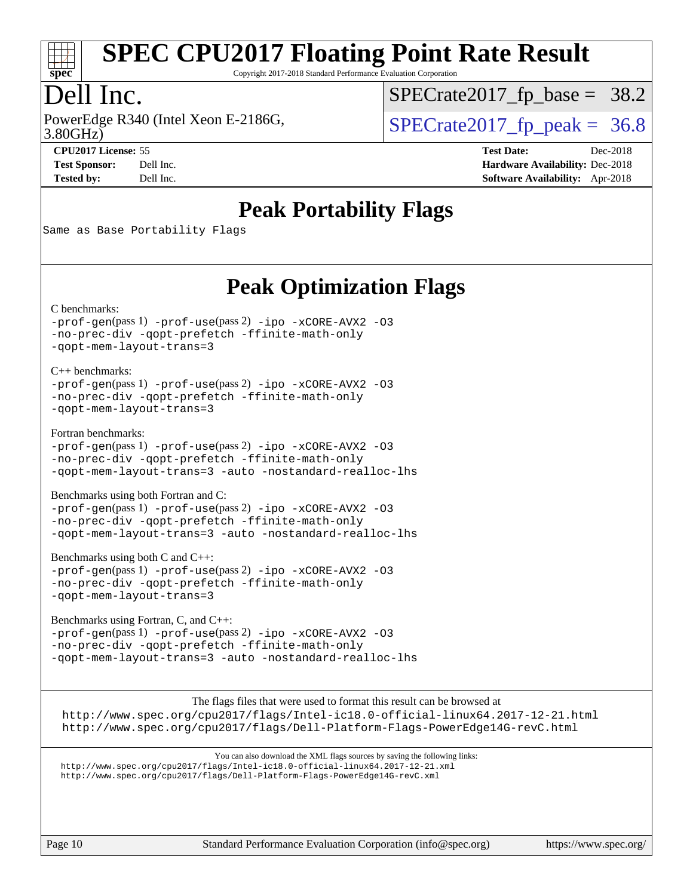

Copyright 2017-2018 Standard Performance Evaluation Corporation

### Dell Inc.

3.80GHz) PowerEdge R340 (Intel Xeon E-2186G,  $\vert$  [SPECrate2017\\_fp\\_peak =](http://www.spec.org/auto/cpu2017/Docs/result-fields.html#SPECrate2017fppeak) 36.8

 $SPECTate2017_fp\_base = 38.2$ 

**[Tested by:](http://www.spec.org/auto/cpu2017/Docs/result-fields.html#Testedby)** Dell Inc. **[Software Availability:](http://www.spec.org/auto/cpu2017/Docs/result-fields.html#SoftwareAvailability)** Apr-2018

**[CPU2017 License:](http://www.spec.org/auto/cpu2017/Docs/result-fields.html#CPU2017License)** 55 **[Test Date:](http://www.spec.org/auto/cpu2017/Docs/result-fields.html#TestDate)** Dec-2018 **[Test Sponsor:](http://www.spec.org/auto/cpu2017/Docs/result-fields.html#TestSponsor)** Dell Inc. **[Hardware Availability:](http://www.spec.org/auto/cpu2017/Docs/result-fields.html#HardwareAvailability)** Dec-2018

### **[Peak Portability Flags](http://www.spec.org/auto/cpu2017/Docs/result-fields.html#PeakPortabilityFlags)**

Same as Base Portability Flags

### **[Peak Optimization Flags](http://www.spec.org/auto/cpu2017/Docs/result-fields.html#PeakOptimizationFlags)**

[C benchmarks](http://www.spec.org/auto/cpu2017/Docs/result-fields.html#Cbenchmarks):

[-prof-gen](http://www.spec.org/cpu2017/results/res2018q4/cpu2017-20181210-10211.flags.html#user_CCpeak_prof_gen_5aa4926d6013ddb2a31985c654b3eb18169fc0c6952a63635c234f711e6e63dd76e94ad52365559451ec499a2cdb89e4dc58ba4c67ef54ca681ffbe1461d6b36)(pass 1) [-prof-use](http://www.spec.org/cpu2017/results/res2018q4/cpu2017-20181210-10211.flags.html#user_CCpeak_prof_use_1a21ceae95f36a2b53c25747139a6c16ca95bd9def2a207b4f0849963b97e94f5260e30a0c64f4bb623698870e679ca08317ef8150905d41bd88c6f78df73f19)(pass 2) [-ipo](http://www.spec.org/cpu2017/results/res2018q4/cpu2017-20181210-10211.flags.html#user_CCpeak_f-ipo) [-xCORE-AVX2](http://www.spec.org/cpu2017/results/res2018q4/cpu2017-20181210-10211.flags.html#user_CCpeak_f-xCORE-AVX2) [-O3](http://www.spec.org/cpu2017/results/res2018q4/cpu2017-20181210-10211.flags.html#user_CCpeak_f-O3) [-no-prec-div](http://www.spec.org/cpu2017/results/res2018q4/cpu2017-20181210-10211.flags.html#user_CCpeak_f-no-prec-div) [-qopt-prefetch](http://www.spec.org/cpu2017/results/res2018q4/cpu2017-20181210-10211.flags.html#user_CCpeak_f-qopt-prefetch) [-ffinite-math-only](http://www.spec.org/cpu2017/results/res2018q4/cpu2017-20181210-10211.flags.html#user_CCpeak_f_finite_math_only_cb91587bd2077682c4b38af759c288ed7c732db004271a9512da14a4f8007909a5f1427ecbf1a0fb78ff2a814402c6114ac565ca162485bbcae155b5e4258871) [-qopt-mem-layout-trans=3](http://www.spec.org/cpu2017/results/res2018q4/cpu2017-20181210-10211.flags.html#user_CCpeak_f-qopt-mem-layout-trans_de80db37974c74b1f0e20d883f0b675c88c3b01e9d123adea9b28688d64333345fb62bc4a798493513fdb68f60282f9a726aa07f478b2f7113531aecce732043)

[C++ benchmarks:](http://www.spec.org/auto/cpu2017/Docs/result-fields.html#CXXbenchmarks)

[-prof-gen](http://www.spec.org/cpu2017/results/res2018q4/cpu2017-20181210-10211.flags.html#user_CXXpeak_prof_gen_5aa4926d6013ddb2a31985c654b3eb18169fc0c6952a63635c234f711e6e63dd76e94ad52365559451ec499a2cdb89e4dc58ba4c67ef54ca681ffbe1461d6b36)(pass 1) [-prof-use](http://www.spec.org/cpu2017/results/res2018q4/cpu2017-20181210-10211.flags.html#user_CXXpeak_prof_use_1a21ceae95f36a2b53c25747139a6c16ca95bd9def2a207b4f0849963b97e94f5260e30a0c64f4bb623698870e679ca08317ef8150905d41bd88c6f78df73f19)(pass 2) [-ipo](http://www.spec.org/cpu2017/results/res2018q4/cpu2017-20181210-10211.flags.html#user_CXXpeak_f-ipo) [-xCORE-AVX2](http://www.spec.org/cpu2017/results/res2018q4/cpu2017-20181210-10211.flags.html#user_CXXpeak_f-xCORE-AVX2) [-O3](http://www.spec.org/cpu2017/results/res2018q4/cpu2017-20181210-10211.flags.html#user_CXXpeak_f-O3) [-no-prec-div](http://www.spec.org/cpu2017/results/res2018q4/cpu2017-20181210-10211.flags.html#user_CXXpeak_f-no-prec-div) [-qopt-prefetch](http://www.spec.org/cpu2017/results/res2018q4/cpu2017-20181210-10211.flags.html#user_CXXpeak_f-qopt-prefetch) [-ffinite-math-only](http://www.spec.org/cpu2017/results/res2018q4/cpu2017-20181210-10211.flags.html#user_CXXpeak_f_finite_math_only_cb91587bd2077682c4b38af759c288ed7c732db004271a9512da14a4f8007909a5f1427ecbf1a0fb78ff2a814402c6114ac565ca162485bbcae155b5e4258871) [-qopt-mem-layout-trans=3](http://www.spec.org/cpu2017/results/res2018q4/cpu2017-20181210-10211.flags.html#user_CXXpeak_f-qopt-mem-layout-trans_de80db37974c74b1f0e20d883f0b675c88c3b01e9d123adea9b28688d64333345fb62bc4a798493513fdb68f60282f9a726aa07f478b2f7113531aecce732043)

[Fortran benchmarks](http://www.spec.org/auto/cpu2017/Docs/result-fields.html#Fortranbenchmarks):

[-prof-gen](http://www.spec.org/cpu2017/results/res2018q4/cpu2017-20181210-10211.flags.html#user_FCpeak_prof_gen_5aa4926d6013ddb2a31985c654b3eb18169fc0c6952a63635c234f711e6e63dd76e94ad52365559451ec499a2cdb89e4dc58ba4c67ef54ca681ffbe1461d6b36)(pass 1) [-prof-use](http://www.spec.org/cpu2017/results/res2018q4/cpu2017-20181210-10211.flags.html#user_FCpeak_prof_use_1a21ceae95f36a2b53c25747139a6c16ca95bd9def2a207b4f0849963b97e94f5260e30a0c64f4bb623698870e679ca08317ef8150905d41bd88c6f78df73f19)(pass 2) [-ipo](http://www.spec.org/cpu2017/results/res2018q4/cpu2017-20181210-10211.flags.html#user_FCpeak_f-ipo) [-xCORE-AVX2](http://www.spec.org/cpu2017/results/res2018q4/cpu2017-20181210-10211.flags.html#user_FCpeak_f-xCORE-AVX2) [-O3](http://www.spec.org/cpu2017/results/res2018q4/cpu2017-20181210-10211.flags.html#user_FCpeak_f-O3) [-no-prec-div](http://www.spec.org/cpu2017/results/res2018q4/cpu2017-20181210-10211.flags.html#user_FCpeak_f-no-prec-div) [-qopt-prefetch](http://www.spec.org/cpu2017/results/res2018q4/cpu2017-20181210-10211.flags.html#user_FCpeak_f-qopt-prefetch) [-ffinite-math-only](http://www.spec.org/cpu2017/results/res2018q4/cpu2017-20181210-10211.flags.html#user_FCpeak_f_finite_math_only_cb91587bd2077682c4b38af759c288ed7c732db004271a9512da14a4f8007909a5f1427ecbf1a0fb78ff2a814402c6114ac565ca162485bbcae155b5e4258871) [-qopt-mem-layout-trans=3](http://www.spec.org/cpu2017/results/res2018q4/cpu2017-20181210-10211.flags.html#user_FCpeak_f-qopt-mem-layout-trans_de80db37974c74b1f0e20d883f0b675c88c3b01e9d123adea9b28688d64333345fb62bc4a798493513fdb68f60282f9a726aa07f478b2f7113531aecce732043) [-auto](http://www.spec.org/cpu2017/results/res2018q4/cpu2017-20181210-10211.flags.html#user_FCpeak_f-auto) [-nostandard-realloc-lhs](http://www.spec.org/cpu2017/results/res2018q4/cpu2017-20181210-10211.flags.html#user_FCpeak_f_2003_std_realloc_82b4557e90729c0f113870c07e44d33d6f5a304b4f63d4c15d2d0f1fab99f5daaed73bdb9275d9ae411527f28b936061aa8b9c8f2d63842963b95c9dd6426b8a)

[Benchmarks using both Fortran and C](http://www.spec.org/auto/cpu2017/Docs/result-fields.html#BenchmarksusingbothFortranandC):

[-prof-gen](http://www.spec.org/cpu2017/results/res2018q4/cpu2017-20181210-10211.flags.html#user_CC_FCpeak_prof_gen_5aa4926d6013ddb2a31985c654b3eb18169fc0c6952a63635c234f711e6e63dd76e94ad52365559451ec499a2cdb89e4dc58ba4c67ef54ca681ffbe1461d6b36)(pass 1) [-prof-use](http://www.spec.org/cpu2017/results/res2018q4/cpu2017-20181210-10211.flags.html#user_CC_FCpeak_prof_use_1a21ceae95f36a2b53c25747139a6c16ca95bd9def2a207b4f0849963b97e94f5260e30a0c64f4bb623698870e679ca08317ef8150905d41bd88c6f78df73f19)(pass 2) [-ipo](http://www.spec.org/cpu2017/results/res2018q4/cpu2017-20181210-10211.flags.html#user_CC_FCpeak_f-ipo) [-xCORE-AVX2](http://www.spec.org/cpu2017/results/res2018q4/cpu2017-20181210-10211.flags.html#user_CC_FCpeak_f-xCORE-AVX2) [-O3](http://www.spec.org/cpu2017/results/res2018q4/cpu2017-20181210-10211.flags.html#user_CC_FCpeak_f-O3) [-no-prec-div](http://www.spec.org/cpu2017/results/res2018q4/cpu2017-20181210-10211.flags.html#user_CC_FCpeak_f-no-prec-div) [-qopt-prefetch](http://www.spec.org/cpu2017/results/res2018q4/cpu2017-20181210-10211.flags.html#user_CC_FCpeak_f-qopt-prefetch) [-ffinite-math-only](http://www.spec.org/cpu2017/results/res2018q4/cpu2017-20181210-10211.flags.html#user_CC_FCpeak_f_finite_math_only_cb91587bd2077682c4b38af759c288ed7c732db004271a9512da14a4f8007909a5f1427ecbf1a0fb78ff2a814402c6114ac565ca162485bbcae155b5e4258871) [-qopt-mem-layout-trans=3](http://www.spec.org/cpu2017/results/res2018q4/cpu2017-20181210-10211.flags.html#user_CC_FCpeak_f-qopt-mem-layout-trans_de80db37974c74b1f0e20d883f0b675c88c3b01e9d123adea9b28688d64333345fb62bc4a798493513fdb68f60282f9a726aa07f478b2f7113531aecce732043) [-auto](http://www.spec.org/cpu2017/results/res2018q4/cpu2017-20181210-10211.flags.html#user_CC_FCpeak_f-auto) [-nostandard-realloc-lhs](http://www.spec.org/cpu2017/results/res2018q4/cpu2017-20181210-10211.flags.html#user_CC_FCpeak_f_2003_std_realloc_82b4557e90729c0f113870c07e44d33d6f5a304b4f63d4c15d2d0f1fab99f5daaed73bdb9275d9ae411527f28b936061aa8b9c8f2d63842963b95c9dd6426b8a)

[Benchmarks using both C and C++](http://www.spec.org/auto/cpu2017/Docs/result-fields.html#BenchmarksusingbothCandCXX):

[-prof-gen](http://www.spec.org/cpu2017/results/res2018q4/cpu2017-20181210-10211.flags.html#user_CC_CXXpeak_prof_gen_5aa4926d6013ddb2a31985c654b3eb18169fc0c6952a63635c234f711e6e63dd76e94ad52365559451ec499a2cdb89e4dc58ba4c67ef54ca681ffbe1461d6b36)(pass 1) [-prof-use](http://www.spec.org/cpu2017/results/res2018q4/cpu2017-20181210-10211.flags.html#user_CC_CXXpeak_prof_use_1a21ceae95f36a2b53c25747139a6c16ca95bd9def2a207b4f0849963b97e94f5260e30a0c64f4bb623698870e679ca08317ef8150905d41bd88c6f78df73f19)(pass 2) [-ipo](http://www.spec.org/cpu2017/results/res2018q4/cpu2017-20181210-10211.flags.html#user_CC_CXXpeak_f-ipo) [-xCORE-AVX2](http://www.spec.org/cpu2017/results/res2018q4/cpu2017-20181210-10211.flags.html#user_CC_CXXpeak_f-xCORE-AVX2) [-O3](http://www.spec.org/cpu2017/results/res2018q4/cpu2017-20181210-10211.flags.html#user_CC_CXXpeak_f-O3) [-no-prec-div](http://www.spec.org/cpu2017/results/res2018q4/cpu2017-20181210-10211.flags.html#user_CC_CXXpeak_f-no-prec-div) [-qopt-prefetch](http://www.spec.org/cpu2017/results/res2018q4/cpu2017-20181210-10211.flags.html#user_CC_CXXpeak_f-qopt-prefetch) [-ffinite-math-only](http://www.spec.org/cpu2017/results/res2018q4/cpu2017-20181210-10211.flags.html#user_CC_CXXpeak_f_finite_math_only_cb91587bd2077682c4b38af759c288ed7c732db004271a9512da14a4f8007909a5f1427ecbf1a0fb78ff2a814402c6114ac565ca162485bbcae155b5e4258871) [-qopt-mem-layout-trans=3](http://www.spec.org/cpu2017/results/res2018q4/cpu2017-20181210-10211.flags.html#user_CC_CXXpeak_f-qopt-mem-layout-trans_de80db37974c74b1f0e20d883f0b675c88c3b01e9d123adea9b28688d64333345fb62bc4a798493513fdb68f60282f9a726aa07f478b2f7113531aecce732043)

[Benchmarks using Fortran, C, and C++:](http://www.spec.org/auto/cpu2017/Docs/result-fields.html#BenchmarksusingFortranCandCXX) [-prof-gen](http://www.spec.org/cpu2017/results/res2018q4/cpu2017-20181210-10211.flags.html#user_CC_CXX_FCpeak_prof_gen_5aa4926d6013ddb2a31985c654b3eb18169fc0c6952a63635c234f711e6e63dd76e94ad52365559451ec499a2cdb89e4dc58ba4c67ef54ca681ffbe1461d6b36)(pass 1) [-prof-use](http://www.spec.org/cpu2017/results/res2018q4/cpu2017-20181210-10211.flags.html#user_CC_CXX_FCpeak_prof_use_1a21ceae95f36a2b53c25747139a6c16ca95bd9def2a207b4f0849963b97e94f5260e30a0c64f4bb623698870e679ca08317ef8150905d41bd88c6f78df73f19)(pass 2) [-ipo](http://www.spec.org/cpu2017/results/res2018q4/cpu2017-20181210-10211.flags.html#user_CC_CXX_FCpeak_f-ipo) [-xCORE-AVX2](http://www.spec.org/cpu2017/results/res2018q4/cpu2017-20181210-10211.flags.html#user_CC_CXX_FCpeak_f-xCORE-AVX2) [-O3](http://www.spec.org/cpu2017/results/res2018q4/cpu2017-20181210-10211.flags.html#user_CC_CXX_FCpeak_f-O3) [-no-prec-div](http://www.spec.org/cpu2017/results/res2018q4/cpu2017-20181210-10211.flags.html#user_CC_CXX_FCpeak_f-no-prec-div) [-qopt-prefetch](http://www.spec.org/cpu2017/results/res2018q4/cpu2017-20181210-10211.flags.html#user_CC_CXX_FCpeak_f-qopt-prefetch) [-ffinite-math-only](http://www.spec.org/cpu2017/results/res2018q4/cpu2017-20181210-10211.flags.html#user_CC_CXX_FCpeak_f_finite_math_only_cb91587bd2077682c4b38af759c288ed7c732db004271a9512da14a4f8007909a5f1427ecbf1a0fb78ff2a814402c6114ac565ca162485bbcae155b5e4258871) [-qopt-mem-layout-trans=3](http://www.spec.org/cpu2017/results/res2018q4/cpu2017-20181210-10211.flags.html#user_CC_CXX_FCpeak_f-qopt-mem-layout-trans_de80db37974c74b1f0e20d883f0b675c88c3b01e9d123adea9b28688d64333345fb62bc4a798493513fdb68f60282f9a726aa07f478b2f7113531aecce732043) [-auto](http://www.spec.org/cpu2017/results/res2018q4/cpu2017-20181210-10211.flags.html#user_CC_CXX_FCpeak_f-auto) [-nostandard-realloc-lhs](http://www.spec.org/cpu2017/results/res2018q4/cpu2017-20181210-10211.flags.html#user_CC_CXX_FCpeak_f_2003_std_realloc_82b4557e90729c0f113870c07e44d33d6f5a304b4f63d4c15d2d0f1fab99f5daaed73bdb9275d9ae411527f28b936061aa8b9c8f2d63842963b95c9dd6426b8a)

The flags files that were used to format this result can be browsed at <http://www.spec.org/cpu2017/flags/Intel-ic18.0-official-linux64.2017-12-21.html> <http://www.spec.org/cpu2017/flags/Dell-Platform-Flags-PowerEdge14G-revC.html>

You can also download the XML flags sources by saving the following links: <http://www.spec.org/cpu2017/flags/Intel-ic18.0-official-linux64.2017-12-21.xml> <http://www.spec.org/cpu2017/flags/Dell-Platform-Flags-PowerEdge14G-revC.xml>